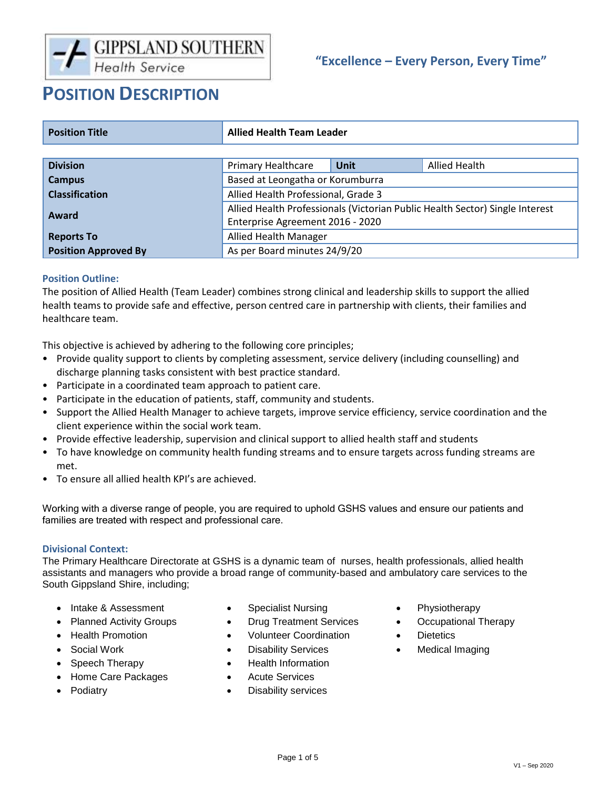# **"Excellence – Every Person, Every Time"**

# **POSITION DESCRIPTION**

| <b>Position Title</b>       | <b>Allied Health Team Leader</b>                                             |      |               |
|-----------------------------|------------------------------------------------------------------------------|------|---------------|
|                             |                                                                              |      |               |
| <b>Division</b>             | <b>Primary Healthcare</b>                                                    | Unit | Allied Health |
| <b>Campus</b>               | Based at Leongatha or Korumburra                                             |      |               |
| <b>Classification</b>       | Allied Health Professional, Grade 3                                          |      |               |
| Award                       | Allied Health Professionals (Victorian Public Health Sector) Single Interest |      |               |
|                             | Enterprise Agreement 2016 - 2020                                             |      |               |
| <b>Reports To</b>           | <b>Allied Health Manager</b>                                                 |      |               |
| <b>Position Approved By</b> | As per Board minutes 24/9/20                                                 |      |               |

# **Position Outline:**

The position of Allied Health (Team Leader) combines strong clinical and leadership skills to support the allied health teams to provide safe and effective, person centred care in partnership with clients, their families and healthcare team.

This objective is achieved by adhering to the following core principles;

- Provide quality support to clients by completing assessment, service delivery (including counselling) and discharge planning tasks consistent with best practice standard.
- Participate in a coordinated team approach to patient care.
- Participate in the education of patients, staff, community and students.
- Support the Allied Health Manager to achieve targets, improve service efficiency, service coordination and the client experience within the social work team.
- Provide effective leadership, supervision and clinical support to allied health staff and students
- To have knowledge on community health funding streams and to ensure targets across funding streams are met.
- To ensure all allied health KPI's are achieved.

Working with a diverse range of people, you are required to uphold GSHS values and ensure our patients and families are treated with respect and professional care.

#### **Divisional Context:**

The Primary Healthcare Directorate at GSHS is a dynamic team of nurses, health professionals, allied health assistants and managers who provide a broad range of community-based and ambulatory care services to the South Gippsland Shire, including;

- Intake & Assessment Specialist Nursing Physiotherapy
- 
- Health Promotion Volunteer Coordination Dietetics
- 
- 
- Home Care Packages
- Podiatry
- 
- 
- 
- 
- Speech Therapy **•** Health Information
	- **•** Acute Services
	- Disability services
- 
- Planned Activity Groups Drug Treatment Services Occupational Therapy
	-
- Social Work Disability Services Medical Imaging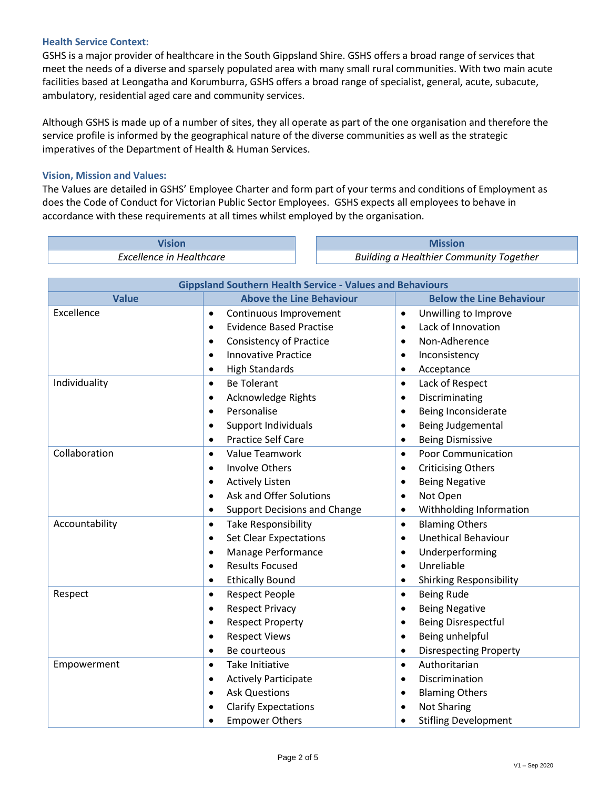### **Health Service Context:**

GSHS is a major provider of healthcare in the South Gippsland Shire. GSHS offers a broad range of services that meet the needs of a diverse and sparsely populated area with many small rural communities. With two main acute facilities based at Leongatha and Korumburra, GSHS offers a broad range of specialist, general, acute, subacute, ambulatory, residential aged care and community services.

Although GSHS is made up of a number of sites, they all operate as part of the one organisation and therefore the service profile is informed by the geographical nature of the diverse communities as well as the strategic imperatives of the Department of Health & Human Services.

### **Vision, Mission and Values:**

The Values are detailed in GSHS' Employee Charter and form part of your terms and conditions of Employment as does the Code of Conduct for Victorian Public Sector Employees. GSHS expects all employees to behave in accordance with these requirements at all times whilst employed by the organisation.

| . Healthcare<br>Fxrellen<br>cellence in | I Healthier Community Together<br>Building a |  |
|-----------------------------------------|----------------------------------------------|--|

| <b>Gippsland Southern Health Service - Values and Behaviours</b> |                                             |                                                                                                                                          |  |  |  |
|------------------------------------------------------------------|---------------------------------------------|------------------------------------------------------------------------------------------------------------------------------------------|--|--|--|
| <b>Value</b>                                                     | <b>Above the Line Behaviour</b>             | <b>Below the Line Behaviour</b>                                                                                                          |  |  |  |
| Excellence                                                       | Continuous Improvement<br>$\bullet$         | Unwilling to Improve<br>$\bullet$                                                                                                        |  |  |  |
|                                                                  | <b>Evidence Based Practise</b><br>$\bullet$ | Lack of Innovation<br>$\bullet$                                                                                                          |  |  |  |
|                                                                  | <b>Consistency of Practice</b><br>٠         | Non-Adherence<br>$\bullet$<br>Inconsistency                                                                                              |  |  |  |
|                                                                  | <b>Innovative Practice</b><br>$\bullet$     |                                                                                                                                          |  |  |  |
|                                                                  | <b>High Standards</b><br>٠                  | Acceptance                                                                                                                               |  |  |  |
| Individuality                                                    | <b>Be Tolerant</b><br>$\bullet$             | Lack of Respect<br>$\bullet$                                                                                                             |  |  |  |
|                                                                  | <b>Acknowledge Rights</b><br>$\bullet$      | Discriminating<br>$\bullet$                                                                                                              |  |  |  |
|                                                                  | Personalise<br>$\bullet$                    | Being Inconsiderate<br>$\bullet$                                                                                                         |  |  |  |
|                                                                  | <b>Support Individuals</b><br>$\bullet$     | Being Judgemental<br>$\bullet$                                                                                                           |  |  |  |
|                                                                  | <b>Practice Self Care</b><br>$\bullet$      | <b>Being Dismissive</b><br>$\bullet$                                                                                                     |  |  |  |
| Collaboration                                                    | Value Teamwork<br>$\bullet$                 | <b>Poor Communication</b><br>$\bullet$                                                                                                   |  |  |  |
|                                                                  | <b>Involve Others</b><br>$\bullet$          | <b>Criticising Others</b><br>$\bullet$                                                                                                   |  |  |  |
|                                                                  | <b>Actively Listen</b><br>$\bullet$         | <b>Being Negative</b><br>$\bullet$                                                                                                       |  |  |  |
|                                                                  | Ask and Offer Solutions<br>$\bullet$        | Not Open<br>$\bullet$                                                                                                                    |  |  |  |
|                                                                  | <b>Support Decisions and Change</b><br>٠    | Withholding Information<br>$\bullet$                                                                                                     |  |  |  |
| Accountability                                                   | <b>Take Responsibility</b><br>$\bullet$     | <b>Blaming Others</b><br>$\bullet$<br><b>Unethical Behaviour</b><br>$\bullet$<br>Underperforming<br>$\bullet$<br>Unreliable<br>$\bullet$ |  |  |  |
|                                                                  | <b>Set Clear Expectations</b><br>$\bullet$  |                                                                                                                                          |  |  |  |
|                                                                  | Manage Performance<br>$\bullet$             |                                                                                                                                          |  |  |  |
|                                                                  | <b>Results Focused</b><br>$\bullet$         |                                                                                                                                          |  |  |  |
|                                                                  | <b>Ethically Bound</b><br>٠                 | <b>Shirking Responsibility</b><br>$\bullet$                                                                                              |  |  |  |
| Respect                                                          | <b>Respect People</b><br>$\bullet$          | <b>Being Rude</b><br>$\bullet$                                                                                                           |  |  |  |
|                                                                  | <b>Respect Privacy</b><br>$\bullet$         | <b>Being Negative</b>                                                                                                                    |  |  |  |
|                                                                  | <b>Respect Property</b><br>$\bullet$        | Being Disrespectful<br>$\bullet$                                                                                                         |  |  |  |
|                                                                  | <b>Respect Views</b><br>$\bullet$           | Being unhelpful<br>$\bullet$                                                                                                             |  |  |  |
|                                                                  | Be courteous<br>$\bullet$                   | <b>Disrespecting Property</b>                                                                                                            |  |  |  |
| Empowerment                                                      | <b>Take Initiative</b><br>$\bullet$         | Authoritarian<br>$\bullet$                                                                                                               |  |  |  |
|                                                                  | <b>Actively Participate</b><br>$\bullet$    | Discrimination<br>$\bullet$                                                                                                              |  |  |  |
|                                                                  | <b>Ask Questions</b><br>$\bullet$           | <b>Blaming Others</b>                                                                                                                    |  |  |  |
|                                                                  | <b>Clarify Expectations</b><br>$\bullet$    | <b>Not Sharing</b>                                                                                                                       |  |  |  |
|                                                                  | <b>Empower Others</b>                       | <b>Stifling Development</b>                                                                                                              |  |  |  |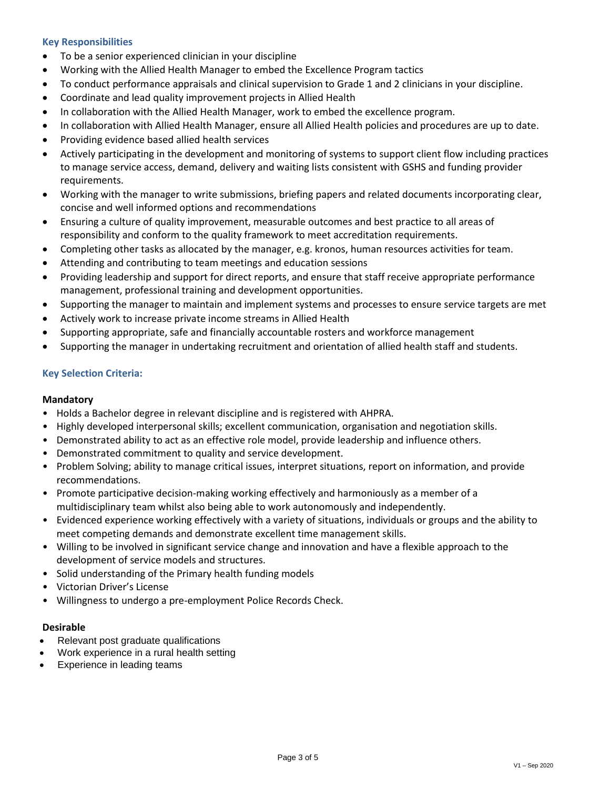# **Key Responsibilities**

- To be a senior experienced clinician in your discipline
- Working with the Allied Health Manager to embed the Excellence Program tactics
- To conduct performance appraisals and clinical supervision to Grade 1 and 2 clinicians in your discipline.
- Coordinate and lead quality improvement projects in Allied Health
- In collaboration with the Allied Health Manager, work to embed the excellence program.
- In collaboration with Allied Health Manager, ensure all Allied Health policies and procedures are up to date.
- Providing evidence based allied health services
- Actively participating in the development and monitoring of systems to support client flow including practices to manage service access, demand, delivery and waiting lists consistent with GSHS and funding provider requirements.
- Working with the manager to write submissions, briefing papers and related documents incorporating clear, concise and well informed options and recommendations
- Ensuring a culture of quality improvement, measurable outcomes and best practice to all areas of responsibility and conform to the quality framework to meet accreditation requirements.
- Completing other tasks as allocated by the manager, e.g. kronos, human resources activities for team.
- Attending and contributing to team meetings and education sessions
- Providing leadership and support for direct reports, and ensure that staff receive appropriate performance management, professional training and development opportunities.
- Supporting the manager to maintain and implement systems and processes to ensure service targets are met
- Actively work to increase private income streams in Allied Health
- Supporting appropriate, safe and financially accountable rosters and workforce management
- Supporting the manager in undertaking recruitment and orientation of allied health staff and students.

# **Key Selection Criteria:**

# **Mandatory**

- Holds a Bachelor degree in relevant discipline and is registered with AHPRA.
- Highly developed interpersonal skills; excellent communication, organisation and negotiation skills.
- Demonstrated ability to act as an effective role model, provide leadership and influence others.
- Demonstrated commitment to quality and service development.
- Problem Solving; ability to manage critical issues, interpret situations, report on information, and provide recommendations.
- Promote participative decision-making working effectively and harmoniously as a member of a multidisciplinary team whilst also being able to work autonomously and independently.
- Evidenced experience working effectively with a variety of situations, individuals or groups and the ability to meet competing demands and demonstrate excellent time management skills.
- Willing to be involved in significant service change and innovation and have a flexible approach to the development of service models and structures.
- Solid understanding of the Primary health funding models
- Victorian Driver's License
- Willingness to undergo a pre-employment Police Records Check.

#### **Desirable**

- Relevant post graduate qualifications
- Work experience in a rural health setting
- Experience in leading teams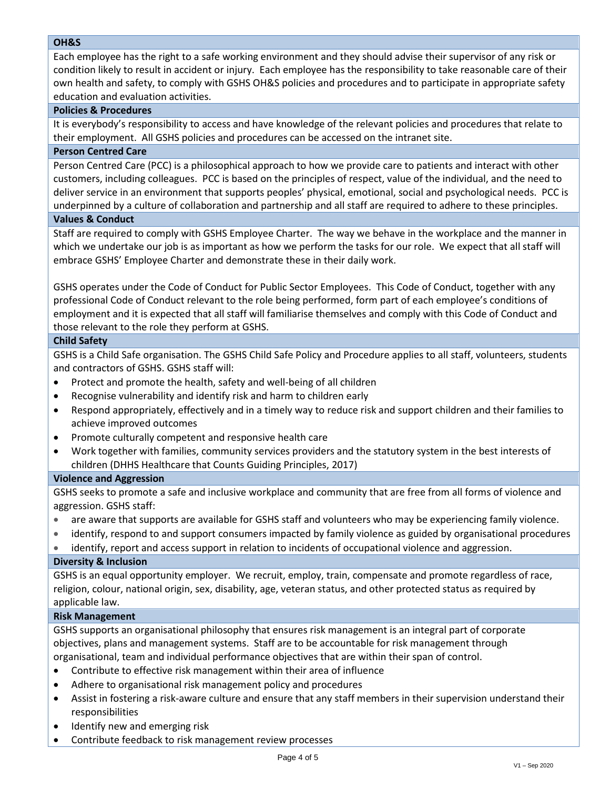### **OH&S**

Each employee has the right to a safe working environment and they should advise their supervisor of any risk or condition likely to result in accident or injury. Each employee has the responsibility to take reasonable care of their own health and safety, to comply with GSHS OH&S policies and procedures and to participate in appropriate safety education and evaluation activities.

### **Policies & Procedures**

It is everybody's responsibility to access and have knowledge of the relevant policies and procedures that relate to their employment. All GSHS policies and procedures can be accessed on the intranet site.

# **Person Centred Care**

Person Centred Care (PCC) is a philosophical approach to how we provide care to patients and interact with other customers, including colleagues. PCC is based on the principles of respect, value of the individual, and the need to deliver service in an environment that supports peoples' physical, emotional, social and psychological needs. PCC is underpinned by a culture of collaboration and partnership and all staff are required to adhere to these principles.

# **Values & Conduct**

Staff are required to comply with GSHS Employee Charter. The way we behave in the workplace and the manner in which we undertake our job is as important as how we perform the tasks for our role. We expect that all staff will embrace GSHS' Employee Charter and demonstrate these in their daily work.

GSHS operates under the Code of Conduct for Public Sector Employees. This Code of Conduct, together with any professional Code of Conduct relevant to the role being performed, form part of each employee's conditions of employment and it is expected that all staff will familiarise themselves and comply with this Code of Conduct and those relevant to the role they perform at GSHS.

### **Child Safety**

GSHS is a Child Safe organisation. The GSHS Child Safe Policy and Procedure applies to all staff, volunteers, students and contractors of GSHS. GSHS staff will:

- Protect and promote the health, safety and well-being of all children
- Recognise vulnerability and identify risk and harm to children early
- Respond appropriately, effectively and in a timely way to reduce risk and support children and their families to achieve improved outcomes
- Promote culturally competent and responsive health care
- Work together with families, community services providers and the statutory system in the best interests of children (DHHS Healthcare that Counts Guiding Principles, 2017)

#### **Violence and Aggression**

GSHS seeks to promote a safe and inclusive workplace and community that are free from all forms of violence and aggression. GSHS staff:

- are aware that supports are available for GSHS staff and volunteers who may be experiencing family violence.
- identify, respond to and support consumers impacted by family violence as guided by organisational procedures
- identify, report and access support in relation to incidents of occupational violence and aggression.

# **Diversity & Inclusion**

GSHS is an equal opportunity employer. We recruit, employ, train, compensate and promote regardless of race, religion, colour, national origin, sex, disability, age, veteran status, and other protected status as required by applicable law.

#### **Risk Management**

GSHS supports an organisational philosophy that ensures risk management is an integral part of corporate objectives, plans and management systems. Staff are to be accountable for risk management through organisational, team and individual performance objectives that are within their span of control.

- Contribute to effective risk management within their area of influence
- Adhere to organisational risk management policy and procedures
- Assist in fostering a risk-aware culture and ensure that any staff members in their supervision understand their responsibilities
- Identify new and emerging risk
- Contribute feedback to risk management review processes